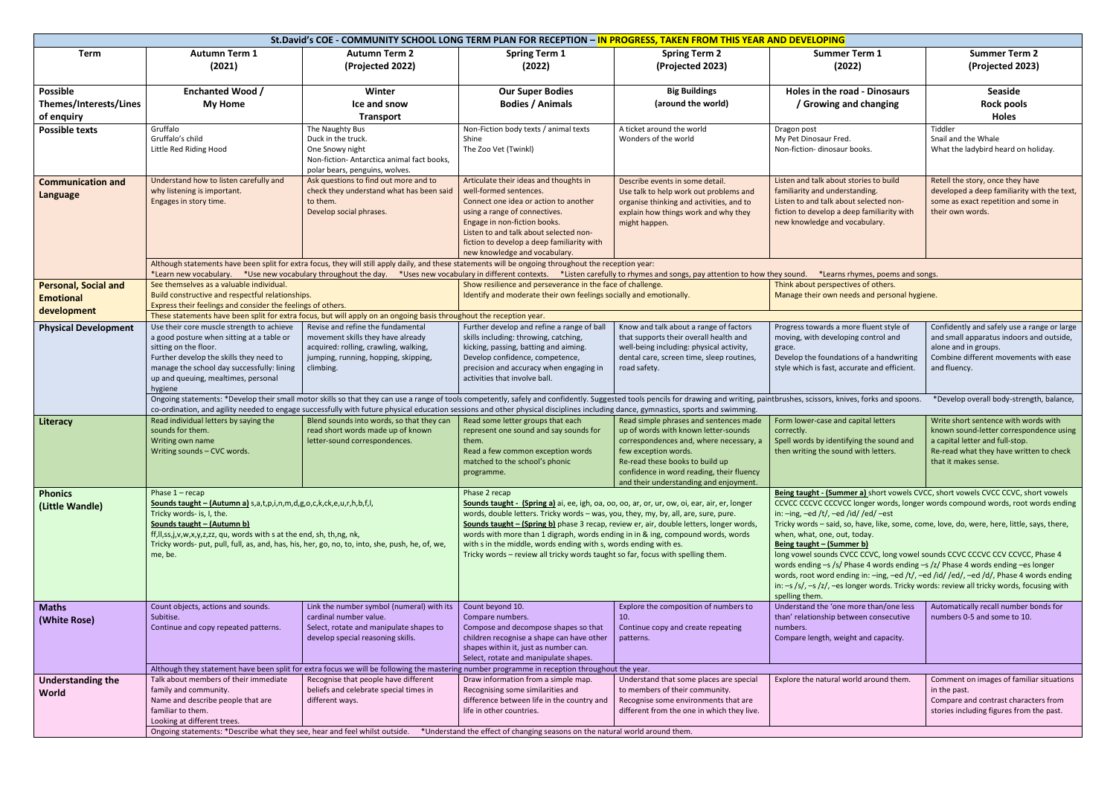| St.David's COE - COMMUNITY SCHOOL LONG TERM PLAN FOR RECEPTION - IN PROGRESS, TAKEN FROM THIS YEAR AND DEVELOPING |                                                                                                                                                                                                                                                                                                                                                                                    |                                                                                                                                                                                                                                                                                                                                                                                                                                                                 |                                                                                                                                                                                                                                                                                                                                                                                                                                                                                                                                           |                                                                                                                                                                                                                                                                             |                                                                                                                                                                                                                                                                                                                                                                                                                                                                                                                                                                                                                                                                                                                                                                            |                                                                                                                                                                                       |  |  |  |  |
|-------------------------------------------------------------------------------------------------------------------|------------------------------------------------------------------------------------------------------------------------------------------------------------------------------------------------------------------------------------------------------------------------------------------------------------------------------------------------------------------------------------|-----------------------------------------------------------------------------------------------------------------------------------------------------------------------------------------------------------------------------------------------------------------------------------------------------------------------------------------------------------------------------------------------------------------------------------------------------------------|-------------------------------------------------------------------------------------------------------------------------------------------------------------------------------------------------------------------------------------------------------------------------------------------------------------------------------------------------------------------------------------------------------------------------------------------------------------------------------------------------------------------------------------------|-----------------------------------------------------------------------------------------------------------------------------------------------------------------------------------------------------------------------------------------------------------------------------|----------------------------------------------------------------------------------------------------------------------------------------------------------------------------------------------------------------------------------------------------------------------------------------------------------------------------------------------------------------------------------------------------------------------------------------------------------------------------------------------------------------------------------------------------------------------------------------------------------------------------------------------------------------------------------------------------------------------------------------------------------------------------|---------------------------------------------------------------------------------------------------------------------------------------------------------------------------------------|--|--|--|--|
| <b>Term</b>                                                                                                       | <b>Autumn Term 1</b><br>(2021)                                                                                                                                                                                                                                                                                                                                                     | <b>Autumn Term 2</b><br>(Projected 2022)                                                                                                                                                                                                                                                                                                                                                                                                                        | <b>Spring Term 1</b><br>(2022)                                                                                                                                                                                                                                                                                                                                                                                                                                                                                                            | <b>Spring Term 2</b><br>(Projected 2023)                                                                                                                                                                                                                                    | <b>Summer Term 1</b><br>(2022)                                                                                                                                                                                                                                                                                                                                                                                                                                                                                                                                                                                                                                                                                                                                             | <b>Summer Term 2</b><br>(Projected 2023)                                                                                                                                              |  |  |  |  |
| <b>Possible</b><br>Themes/Interests/Lines<br>of enquiry                                                           | <b>Enchanted Wood /</b><br><b>My Home</b>                                                                                                                                                                                                                                                                                                                                          | Winter<br>Ice and snow<br><b>Transport</b>                                                                                                                                                                                                                                                                                                                                                                                                                      | <b>Our Super Bodies</b><br><b>Bodies / Animals</b>                                                                                                                                                                                                                                                                                                                                                                                                                                                                                        | <b>Big Buildings</b><br>(around the world)                                                                                                                                                                                                                                  | <b>Holes in the road - Dinosaurs</b><br>/ Growing and changing                                                                                                                                                                                                                                                                                                                                                                                                                                                                                                                                                                                                                                                                                                             | Seaside<br><b>Rock pools</b><br><b>Holes</b>                                                                                                                                          |  |  |  |  |
| <b>Possible texts</b>                                                                                             | Gruffalo<br>Gruffalo's child<br>Little Red Riding Hood                                                                                                                                                                                                                                                                                                                             | The Naughty Bus<br>Duck in the truck.<br>One Snowy night<br>Non-fiction- Antarctica animal fact books,<br>polar bears, penguins, wolves.                                                                                                                                                                                                                                                                                                                        | Non-Fiction body texts / animal texts<br>Shine<br>The Zoo Vet (Twinkl)                                                                                                                                                                                                                                                                                                                                                                                                                                                                    | A ticket around the world<br>Wonders of the world                                                                                                                                                                                                                           | Dragon post<br>My Pet Dinosaur Fred.<br>Non-fiction- dinosaur books.                                                                                                                                                                                                                                                                                                                                                                                                                                                                                                                                                                                                                                                                                                       | Tiddler<br>Snail and the Whale<br>What the ladybird heard on holiday.                                                                                                                 |  |  |  |  |
| <b>Communication and</b><br>Language                                                                              | Understand how to listen carefully and<br>why listening is important.<br>Engages in story time.                                                                                                                                                                                                                                                                                    | Ask questions to find out more and to<br>check they understand what has been said<br>to them.<br>Develop social phrases.                                                                                                                                                                                                                                                                                                                                        | Articulate their ideas and thoughts in<br>well-formed sentences.<br>Connect one idea or action to another<br>using a range of connectives.<br>Engage in non-fiction books.<br>Listen to and talk about selected non-<br>fiction to develop a deep familiarity with<br>new knowledge and vocabulary.                                                                                                                                                                                                                                       | Describe events in some detail.<br>Use talk to help work out problems and<br>organise thinking and activities, and to<br>explain how things work and why they<br>might happen.                                                                                              | Listen and talk about stories to build<br>familiarity and understanding.<br>Listen to and talk about selected non-<br>fiction to develop a deep familiarity with<br>new knowledge and vocabulary.                                                                                                                                                                                                                                                                                                                                                                                                                                                                                                                                                                          | Retell the story, once they have<br>developed a deep familiarity with the text,<br>some as exact repetition and some in<br>their own words.                                           |  |  |  |  |
|                                                                                                                   |                                                                                                                                                                                                                                                                                                                                                                                    | Although statements have been split for extra focus, they will still apply daily, and these statements will be ongoing throughout the reception year:                                                                                                                                                                                                                                                                                                           |                                                                                                                                                                                                                                                                                                                                                                                                                                                                                                                                           |                                                                                                                                                                                                                                                                             |                                                                                                                                                                                                                                                                                                                                                                                                                                                                                                                                                                                                                                                                                                                                                                            |                                                                                                                                                                                       |  |  |  |  |
| <b>Personal, Social and</b><br><b>Emotional</b>                                                                   | *Learn new vocabulary. *Use new vocabulary throughout the day. *Uses new vocabulary in different contexts. *Listen carefully to rhymes and songs, pay attention to how they sound. *Learns rhymes, poems and songs.<br>See themselves as a valuable individual.<br>Build constructive and respectful relationships.<br>Express their feelings and consider the feelings of others. |                                                                                                                                                                                                                                                                                                                                                                                                                                                                 | Show resilience and perseverance in the face of challenge.<br>Identify and moderate their own feelings socially and emotionally.                                                                                                                                                                                                                                                                                                                                                                                                          |                                                                                                                                                                                                                                                                             | Think about perspectives of others.<br>Manage their own needs and personal hygiene.                                                                                                                                                                                                                                                                                                                                                                                                                                                                                                                                                                                                                                                                                        |                                                                                                                                                                                       |  |  |  |  |
| development                                                                                                       | These statements have been split for extra focus, but will apply on an ongoing basis throughout the reception year.                                                                                                                                                                                                                                                                |                                                                                                                                                                                                                                                                                                                                                                                                                                                                 |                                                                                                                                                                                                                                                                                                                                                                                                                                                                                                                                           |                                                                                                                                                                                                                                                                             |                                                                                                                                                                                                                                                                                                                                                                                                                                                                                                                                                                                                                                                                                                                                                                            |                                                                                                                                                                                       |  |  |  |  |
| <b>Physical Development</b>                                                                                       | Use their core muscle strength to achieve<br>a good posture when sitting at a table or<br>sitting on the floor.<br>Further develop the skills they need to<br>manage the school day successfully: lining<br>up and queuing, mealtimes, personal<br>hygiene                                                                                                                         | Revise and refine the fundamental<br>movement skills they have already<br>acquired: rolling, crawling, walking,<br>jumping, running, hopping, skipping,<br>climbing.                                                                                                                                                                                                                                                                                            | Further develop and refine a range of ball<br>skills including: throwing, catching,<br>kicking, passing, batting and aiming.<br>Develop confidence, competence,<br>precision and accuracy when engaging in<br>activities that involve ball.                                                                                                                                                                                                                                                                                               | Know and talk about a range of factors<br>that supports their overall health and<br>well-being including: physical activity,<br>dental care, screen time, sleep routines,<br>road safety.                                                                                   | Progress towards a more fluent style of<br>moving, with developing control and<br>grace.<br>Develop the foundations of a handwriting<br>style which is fast, accurate and efficient.                                                                                                                                                                                                                                                                                                                                                                                                                                                                                                                                                                                       | Confidently and safely use a range or large<br>and small apparatus indoors and outside,<br>alone and in groups.<br>Combine different movements with ease<br>and fluency.              |  |  |  |  |
|                                                                                                                   |                                                                                                                                                                                                                                                                                                                                                                                    | Ongoing statements: *Develop their small motor skills so that they can use a range of tools competently, safely and confidently. Suggested tools pencils for drawing and writing, paintbrushes, scissors, knives, forks and sp<br>*Develop overall body-strength, balance,<br>co-ordination, and agility needed to engage successfully with future physical education sessions and other physical disciplines including dance, gymnastics, sports and swimming. |                                                                                                                                                                                                                                                                                                                                                                                                                                                                                                                                           |                                                                                                                                                                                                                                                                             |                                                                                                                                                                                                                                                                                                                                                                                                                                                                                                                                                                                                                                                                                                                                                                            |                                                                                                                                                                                       |  |  |  |  |
| Literacy                                                                                                          | Read individual letters by saying the<br>sounds for them.<br>Writing own name<br>Writing sounds - CVC words.                                                                                                                                                                                                                                                                       | Blend sounds into words, so that they can<br>read short words made up of known<br>letter-sound correspondences.                                                                                                                                                                                                                                                                                                                                                 | Read some letter groups that each<br>represent one sound and say sounds for<br>them.<br>Read a few common exception words<br>matched to the school's phonic<br>programme.                                                                                                                                                                                                                                                                                                                                                                 | Read simple phrases and sentences made<br>up of words with known letter-sounds<br>correspondences and, where necessary, a<br>few exception words.<br>Re-read these books to build up<br>confidence in word reading, their fluency<br>and their understanding and enjoyment. | Form lower-case and capital letters<br>correctly.<br>Spell words by identifying the sound and<br>then writing the sound with letters.                                                                                                                                                                                                                                                                                                                                                                                                                                                                                                                                                                                                                                      | Write short sentence with words with<br>known sound-letter correspondence using<br>a capital letter and full-stop.<br>Re-read what they have written to check<br>that it makes sense. |  |  |  |  |
| <b>Phonics</b><br>(Little Wandle)                                                                                 | Phase $1 -$ recap<br>Sounds taught - (Autumn a) s, a, t, p, i, n, m, d, g, o, c, k, ck, e, u, r, h, b, f, l,<br>Tricky words- is, I, the.<br>Sounds taught - (Autumn b)<br>ff, II, ss, j, v, w, x, y, z, zz, qu, words with s at the end, sh, th, ng, nk,<br>Tricky words- put, pull, full, as, and, has, his, her, go, no, to, into, she, push, he, of, we,<br>me, be.            |                                                                                                                                                                                                                                                                                                                                                                                                                                                                 | Phase 2 recap<br>Sounds taught - (Spring a) ai, ee, igh, oa, oo, oo, ar, or, ur, ow, oi, ear, air, er, longer<br>words, double letters. Tricky words - was, you, they, my, by, all, are, sure, pure.<br>Sounds taught - (Spring b) phase 3 recap, review er, air, double letters, longer words,<br>words with more than 1 digraph, words ending in in & ing, compound words, words<br>with s in the middle, words ending with s, words ending with es.<br>Tricky words - review all tricky words taught so far, focus with spelling them. |                                                                                                                                                                                                                                                                             | Being taught - (Summer a) short vowels CVCC, short vowels CVCC CCVC, short vowels<br>CCVCC CCCVC CCCVCC longer words, longer words compound words, root words ending<br>in: $-$ ing, $-$ ed /t/, $-$ ed /id/ /ed/ $-$ est<br>Tricky words - said, so, have, like, some, come, love, do, were, here, little, says, there,<br>when, what, one, out, today.<br>Being taught - (Summer b)<br>long vowel sounds CVCC CCVC, long vowel sounds CCVC CCCVC CCV CCVCC, Phase 4<br>words ending -s /s/ Phase 4 words ending -s /z/ Phase 4 words ending -es longer<br>words, root word ending in: -ing, -ed /t/, -ed /id/ /ed/, -ed /d/, Phase 4 words ending<br>in: $-s$ /s/, $-s$ /z/, $-$ es longer words. Tricky words: review all tricky words, focusing with<br>spelling them. |                                                                                                                                                                                       |  |  |  |  |
| <b>Maths</b><br>(White Rose)                                                                                      | Count objects, actions and sounds.<br>Subitise.<br>Continue and copy repeated patterns.                                                                                                                                                                                                                                                                                            | Link the number symbol (numeral) with its<br>cardinal number value.<br>Select, rotate and manipulate shapes to<br>develop special reasoning skills.                                                                                                                                                                                                                                                                                                             | Count beyond 10.<br>Compare numbers.<br>Compose and decompose shapes so that<br>children recognise a shape can have other<br>shapes within it, just as number can.<br>Select, rotate and manipulate shapes.                                                                                                                                                                                                                                                                                                                               | Explore the composition of numbers to<br>10.<br>Continue copy and create repeating<br>patterns.                                                                                                                                                                             | Understand the 'one more than/one less<br>than' relationship between consecutive<br>numbers.<br>Compare length, weight and capacity.                                                                                                                                                                                                                                                                                                                                                                                                                                                                                                                                                                                                                                       | Automatically recall number bonds for<br>numbers 0-5 and some to 10.                                                                                                                  |  |  |  |  |
|                                                                                                                   |                                                                                                                                                                                                                                                                                                                                                                                    | Although they statement have been split for extra focus we will be following the mastering number programme in reception throughout the year.                                                                                                                                                                                                                                                                                                                   |                                                                                                                                                                                                                                                                                                                                                                                                                                                                                                                                           |                                                                                                                                                                                                                                                                             |                                                                                                                                                                                                                                                                                                                                                                                                                                                                                                                                                                                                                                                                                                                                                                            |                                                                                                                                                                                       |  |  |  |  |
| <b>Understanding the</b><br>World                                                                                 | Talk about members of their immediate<br>family and community.<br>Name and describe people that are<br>familiar to them.<br>Looking at different trees.                                                                                                                                                                                                                            | Recognise that people have different<br>beliefs and celebrate special times in<br>different ways.                                                                                                                                                                                                                                                                                                                                                               | Draw information from a simple map.<br>Recognising some similarities and<br>difference between life in the country and<br>life in other countries.                                                                                                                                                                                                                                                                                                                                                                                        | Understand that some places are special<br>to members of their community.<br>Recognise some environments that are<br>different from the one in which they live.                                                                                                             | Explore the natural world around them.                                                                                                                                                                                                                                                                                                                                                                                                                                                                                                                                                                                                                                                                                                                                     | Comment on images of familiar situations<br>in the past.<br>Compare and contrast characters from<br>stories including figures from the past.                                          |  |  |  |  |
|                                                                                                                   | Ongoing statements: *Describe what they see, hear and feel whilst outside.<br>*Understand the effect of changing seasons on the natural world around them.                                                                                                                                                                                                                         |                                                                                                                                                                                                                                                                                                                                                                                                                                                                 |                                                                                                                                                                                                                                                                                                                                                                                                                                                                                                                                           |                                                                                                                                                                                                                                                                             |                                                                                                                                                                                                                                                                                                                                                                                                                                                                                                                                                                                                                                                                                                                                                                            |                                                                                                                                                                                       |  |  |  |  |